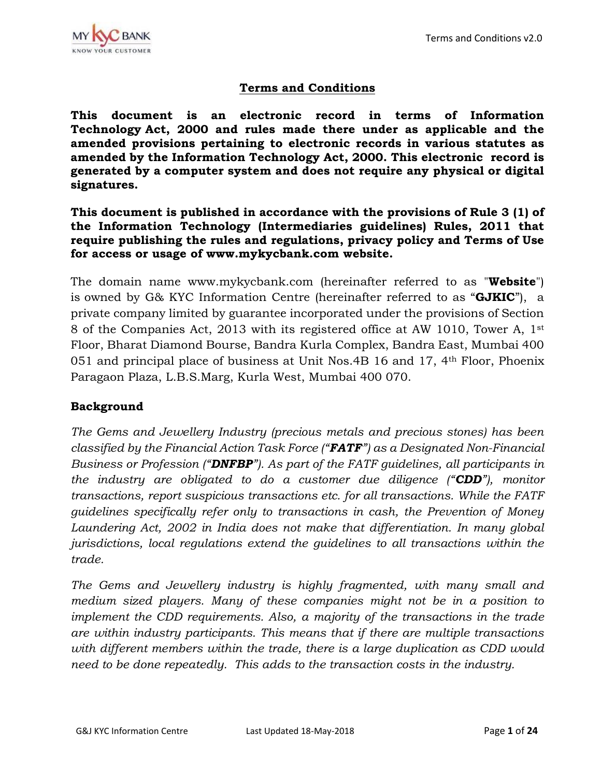

# **Terms and Conditions**

**This document is an electronic record in terms of Information Technology Act, 2000 and rules made there under as applicable and the amended provisions pertaining to electronic records in various statutes as amended by the Information Technology Act, 2000. This electronic record is generated by a computer system and does not require any physical or digital signatures.**

**This document is published in accordance with the provisions of Rule 3 (1) of the Information Technology (Intermediaries guidelines) Rules, 2011 that require publishing the rules and regulations, privacy policy and Terms of Use for access or usage of www.mykycbank.com website.**

The domain name www.mykycbank.com (hereinafter referred to as "**Website**") is owned by G& KYC Information Centre (hereinafter referred to as "**GJKIC**"), a private company limited by guarantee incorporated under the provisions of Section 8 of the Companies Act, 2013 with its registered office at AW 1010, Tower A, 1st Floor, Bharat Diamond Bourse, Bandra Kurla Complex, Bandra East, Mumbai 400 051 and principal place of business at Unit Nos.4B 16 and 17, 4th Floor, Phoenix Paragaon Plaza, L.B.S.Marg, Kurla West, Mumbai 400 070.

### **Background**

*The Gems and Jewellery Industry (precious metals and precious stones) has been classified by the Financial Action Task Force ("FATF") as a Designated Non-Financial Business or Profession ("DNFBP"). As part of the FATF guidelines, all participants in the industry are obligated to do a customer due diligence ("CDD"), monitor transactions, report suspicious transactions etc. for all transactions. While the FATF guidelines specifically refer only to transactions in cash, the Prevention of Money Laundering Act, 2002 in India does not make that differentiation. In many global jurisdictions, local regulations extend the guidelines to all transactions within the trade.*

*The Gems and Jewellery industry is highly fragmented, with many small and medium sized players. Many of these companies might not be in a position to implement the CDD requirements. Also, a majority of the transactions in the trade are within industry participants. This means that if there are multiple transactions*  with different members within the trade, there is a large duplication as CDD would *need to be done repeatedly. This adds to the transaction costs in the industry.*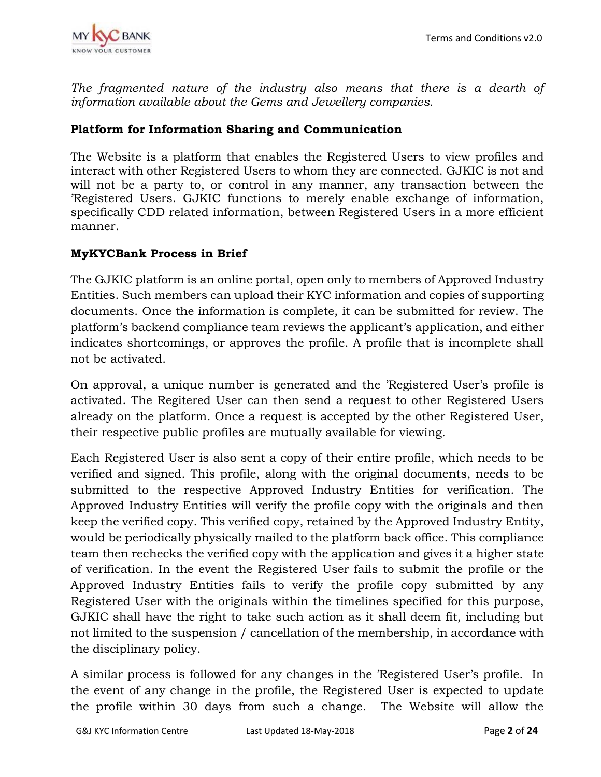The fragmented nature of the industry also means that there is a dearth of *information available about the Gems and Jewellery companies.*

# **Platform for Information Sharing and Communication**

The Website is a platform that enables the Registered Users to view profiles and interact with other Registered Users to whom they are connected. GJKIC is not and will not be a party to, or control in any manner, any transaction between the 'Registered Users. GJKIC functions to merely enable exchange of information, specifically CDD related information, between Registered Users in a more efficient manner.

# **MyKYCBank Process in Brief**

The GJKIC platform is an online portal, open only to members of Approved Industry Entities. Such members can upload their KYC information and copies of supporting documents. Once the information is complete, it can be submitted for review. The platform's backend compliance team reviews the applicant's application, and either indicates shortcomings, or approves the profile. A profile that is incomplete shall not be activated.

On approval, a unique number is generated and the 'Registered User's profile is activated. The Regitered User can then send a request to other Registered Users already on the platform. Once a request is accepted by the other Registered User, their respective public profiles are mutually available for viewing.

Each Registered User is also sent a copy of their entire profile, which needs to be verified and signed. This profile, along with the original documents, needs to be submitted to the respective Approved Industry Entities for verification. The Approved Industry Entities will verify the profile copy with the originals and then keep the verified copy. This verified copy, retained by the Approved Industry Entity, would be periodically physically mailed to the platform back office. This compliance team then rechecks the verified copy with the application and gives it a higher state of verification. In the event the Registered User fails to submit the profile or the Approved Industry Entities fails to verify the profile copy submitted by any Registered User with the originals within the timelines specified for this purpose, GJKIC shall have the right to take such action as it shall deem fit, including but not limited to the suspension / cancellation of the membership, in accordance with the disciplinary policy.

A similar process is followed for any changes in the 'Registered User's profile. In the event of any change in the profile, the Registered User is expected to update the profile within 30 days from such a change. The Website will allow the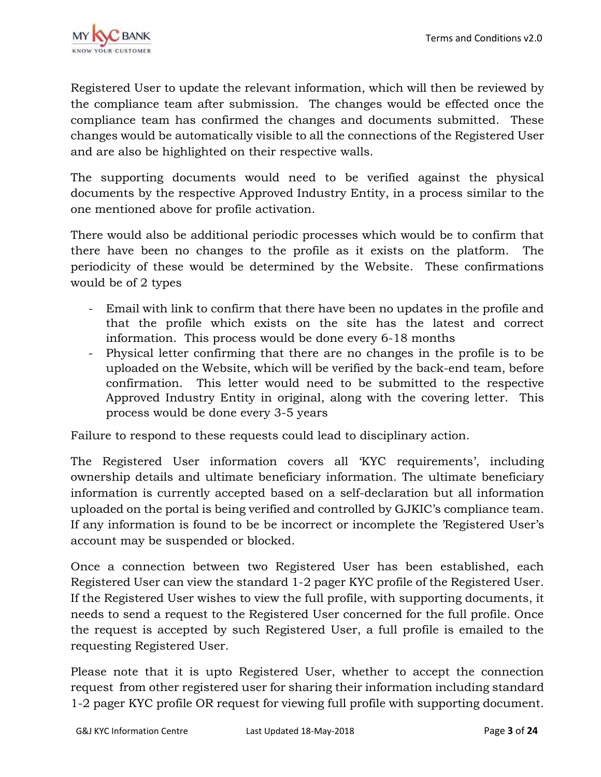

Registered User to update the relevant information, which will then be reviewed by the compliance team after submission. The changes would be effected once the compliance team has confirmed the changes and documents submitted. These changes would be automatically visible to all the connections of the Registered User and are also be highlighted on their respective walls.

The supporting documents would need to be verified against the physical documents by the respective Approved Industry Entity, in a process similar to the one mentioned above for profile activation.

There would also be additional periodic processes which would be to confirm that there have been no changes to the profile as it exists on the platform. The periodicity of these would be determined by the Website. These confirmations would be of 2 types

- Email with link to confirm that there have been no updates in the profile and that the profile which exists on the site has the latest and correct information. This process would be done every 6-18 months
- Physical letter confirming that there are no changes in the profile is to be uploaded on the Website, which will be verified by the back-end team, before confirmation. This letter would need to be submitted to the respective Approved Industry Entity in original, along with the covering letter. This process would be done every 3-5 years

Failure to respond to these requests could lead to disciplinary action.

The Registered User information covers all 'KYC requirements', including ownership details and ultimate beneficiary information. The ultimate beneficiary information is currently accepted based on a self-declaration but all information uploaded on the portal is being verified and controlled by GJKIC's compliance team. If any information is found to be be incorrect or incomplete the 'Registered User's account may be suspended or blocked.

Once a connection between two Registered User has been established, each Registered User can view the standard 1-2 pager KYC profile of the Registered User. If the Registered User wishes to view the full profile, with supporting documents, it needs to send a request to the Registered User concerned for the full profile. Once the request is accepted by such Registered User, a full profile is emailed to the requesting Registered User.

Please note that it is upto Registered User, whether to accept the connection request from other registered user for sharing their information including standard 1-2 pager KYC profile OR request for viewing full profile with supporting document.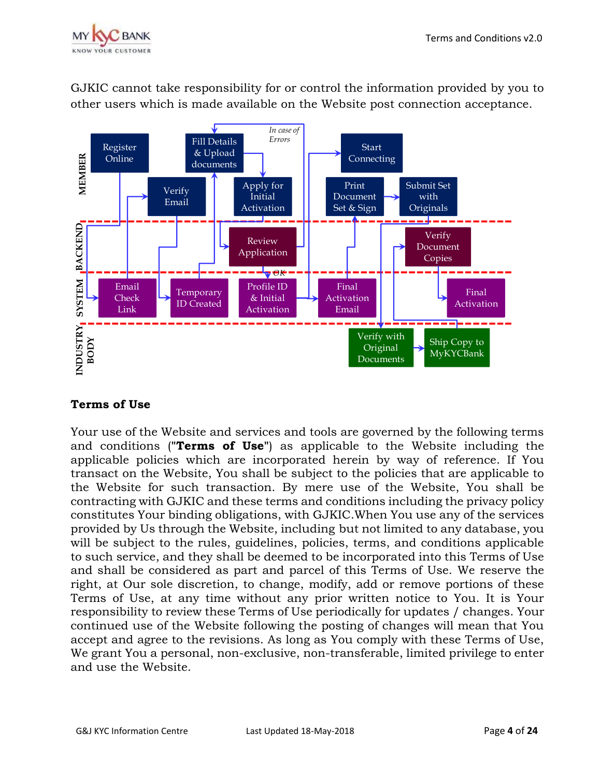



GJKIC cannot take responsibility for or control the information provided by you to other users which is made available on the Website post connection acceptance.

# **Terms of Use**

Your use of the Website and services and tools are governed by the following terms and conditions (**"Terms of Use"**) as applicable to the Website including the applicable policies which are incorporated herein by way of reference. If You transact on the Website, You shall be subject to the policies that are applicable to the Website for such transaction. By mere use of the Website, You shall be contracting with GJKIC and these terms and conditions including the privacy policy constitutes Your binding obligations, with GJKIC.When You use any of the services provided by Us through the Website, including but not limited to any database, you will be subject to the rules, guidelines, policies, terms, and conditions applicable to such service, and they shall be deemed to be incorporated into this Terms of Use and shall be considered as part and parcel of this Terms of Use. We reserve the right, at Our sole discretion, to change, modify, add or remove portions of these Terms of Use, at any time without any prior written notice to You. It is Your responsibility to review these Terms of Use periodically for updates / changes. Your continued use of the Website following the posting of changes will mean that You accept and agree to the revisions. As long as You comply with these Terms of Use, We grant You a personal, non-exclusive, non-transferable, limited privilege to enter and use the Website.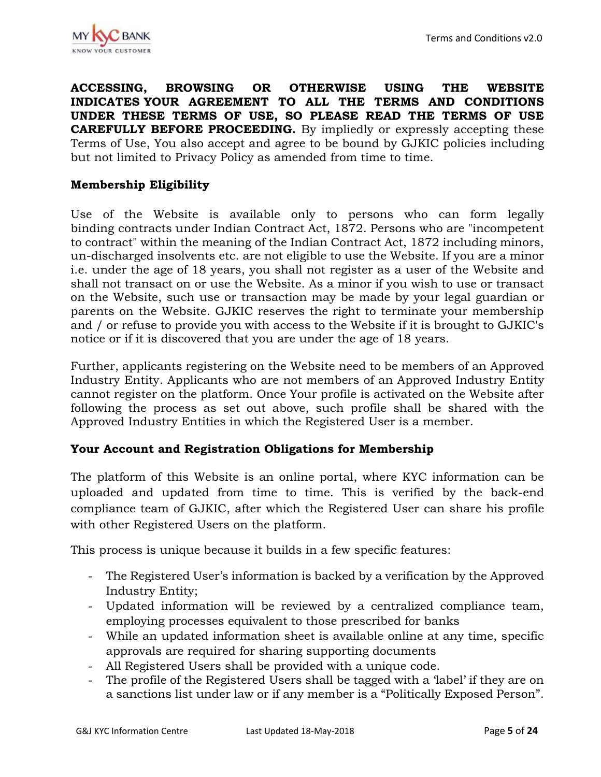**ACCESSING, BROWSING OR OTHERWISE USING THE WEBSITE INDICATES YOUR AGREEMENT TO ALL THE TERMS AND CONDITIONS UNDER THESE TERMS OF USE, SO PLEASE READ THE TERMS OF USE CAREFULLY BEFORE PROCEEDING.** By impliedly or expressly accepting these Terms of Use, You also accept and agree to be bound by GJKIC policies including but not limited to Privacy Policy as amended from time to time.

### **Membership Eligibility**

Use of the Website is available only to persons who can form legally binding contracts under Indian Contract Act, 1872. Persons who are "incompetent to contract" within the meaning of the Indian Contract Act, 1872 including minors, un-discharged insolvents etc. are not eligible to use the Website. If you are a minor i.e. under the age of 18 years, you shall not register as a user of the Website and shall not transact on or use the Website. As a minor if you wish to use or transact on the Website, such use or transaction may be made by your legal guardian or parents on the Website. GJKIC reserves the right to terminate your membership and / or refuse to provide you with access to the Website if it is brought to GJKIC's notice or if it is discovered that you are under the age of 18 years.

Further, applicants registering on the Website need to be members of an Approved Industry Entity. Applicants who are not members of an Approved Industry Entity cannot register on the platform. Once Your profile is activated on the Website after following the process as set out above, such profile shall be shared with the Approved Industry Entities in which the Registered User is a member.

### **Your Account and Registration Obligations for Membership**

The platform of this Website is an online portal, where KYC information can be uploaded and updated from time to time. This is verified by the back-end compliance team of GJKIC, after which the Registered User can share his profile with other Registered Users on the platform.

This process is unique because it builds in a few specific features:

- The Registered User's information is backed by a verification by the Approved Industry Entity;
- Updated information will be reviewed by a centralized compliance team, employing processes equivalent to those prescribed for banks
- While an updated information sheet is available online at any time, specific approvals are required for sharing supporting documents
- All Registered Users shall be provided with a unique code.
- The profile of the Registered Users shall be tagged with a 'label' if they are on a sanctions list under law or if any member is a "Politically Exposed Person".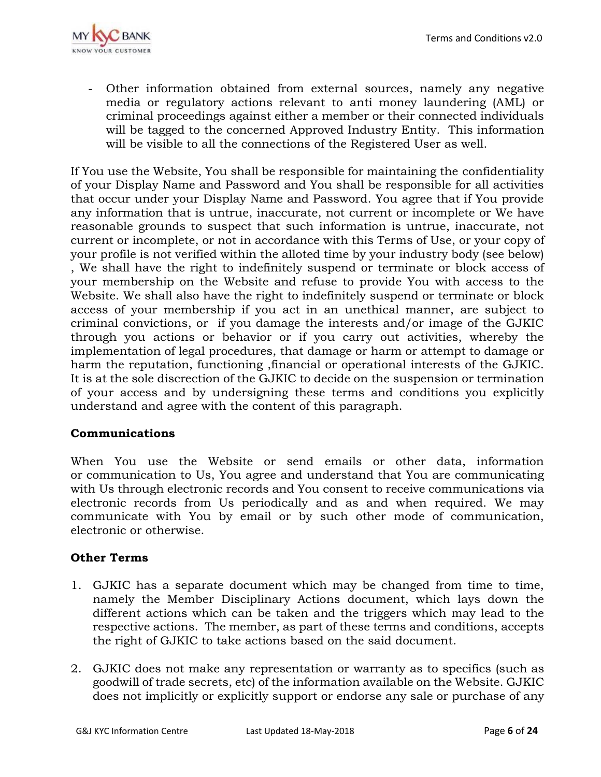

- Other information obtained from external sources, namely any negative media or regulatory actions relevant to anti money laundering (AML) or criminal proceedings against either a member or their connected individuals will be tagged to the concerned Approved Industry Entity. This information will be visible to all the connections of the Registered User as well.

If You use the Website, You shall be responsible for maintaining the confidentiality of your Display Name and Password and You shall be responsible for all activities that occur under your Display Name and Password. You agree that if You provide any information that is untrue, inaccurate, not current or incomplete or We have reasonable grounds to suspect that such information is untrue, inaccurate, not current or incomplete, or not in accordance with this Terms of Use, or your copy of your profile is not verified within the alloted time by your industry body (see below) , We shall have the right to indefinitely suspend or terminate or block access of your membership on the Website and refuse to provide You with access to the Website. We shall also have the right to indefinitely suspend or terminate or block access of your membership if you act in an unethical manner, are subject to criminal convictions, or if you damage the interests and/or image of the GJKIC through you actions or behavior or if you carry out activities, whereby the implementation of legal procedures, that damage or harm or attempt to damage or harm the reputation, functioning ,financial or operational interests of the GJKIC. It is at the sole discrection of the GJKIC to decide on the suspension or termination of your access and by undersigning these terms and conditions you explicitly understand and agree with the content of this paragraph.

### **Communications**

When You use the Website or send emails or other data, information or communication to Us, You agree and understand that You are communicating with Us through electronic records and You consent to receive communications via electronic records from Us periodically and as and when required. We may communicate with You by email or by such other mode of communication, electronic or otherwise.

### **Other Terms**

- 1. GJKIC has a separate document which may be changed from time to time, namely the Member Disciplinary Actions document, which lays down the different actions which can be taken and the triggers which may lead to the respective actions. The member, as part of these terms and conditions, accepts the right of GJKIC to take actions based on the said document.
- 2. GJKIC does not make any representation or warranty as to specifics (such as goodwill of trade secrets, etc) of the information available on the Website. GJKIC does not implicitly or explicitly support or endorse any sale or purchase of any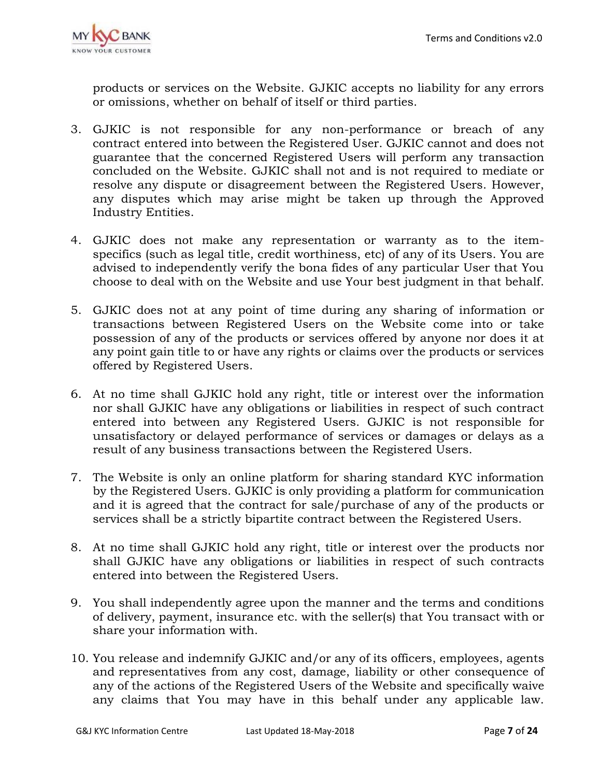

products or services on the Website. GJKIC accepts no liability for any errors or omissions, whether on behalf of itself or third parties.

- 3. GJKIC is not responsible for any non-performance or breach of any contract entered into between the Registered User. GJKIC cannot and does not guarantee that the concerned Registered Users will perform any transaction concluded on the Website. GJKIC shall not and is not required to mediate or resolve any dispute or disagreement between the Registered Users. However, any disputes which may arise might be taken up through the Approved Industry Entities.
- 4. GJKIC does not make any representation or warranty as to the itemspecifics (such as legal title, credit worthiness, etc) of any of its Users. You are advised to independently verify the bona fides of any particular User that You choose to deal with on the Website and use Your best judgment in that behalf.
- 5. GJKIC does not at any point of time during any sharing of information or transactions between Registered Users on the Website come into or take possession of any of the products or services offered by anyone nor does it at any point gain title to or have any rights or claims over the products or services offered by Registered Users.
- 6. At no time shall GJKIC hold any right, title or interest over the information nor shall GJKIC have any obligations or liabilities in respect of such contract entered into between any Registered Users. GJKIC is not responsible for unsatisfactory or delayed performance of services or damages or delays as a result of any business transactions between the Registered Users.
- 7. The Website is only an online platform for sharing standard KYC information by the Registered Users. GJKIC is only providing a platform for communication and it is agreed that the contract for sale/purchase of any of the products or services shall be a strictly bipartite contract between the Registered Users.
- 8. At no time shall GJKIC hold any right, title or interest over the products nor shall GJKIC have any obligations or liabilities in respect of such contracts entered into between the Registered Users.
- 9. You shall independently agree upon the manner and the terms and conditions of delivery, payment, insurance etc. with the seller(s) that You transact with or share your information with.
- 10. You release and indemnify GJKIC and/or any of its officers, employees, agents and representatives from any cost, damage, liability or other consequence of any of the actions of the Registered Users of the Website and specifically waive any claims that You may have in this behalf under any applicable law.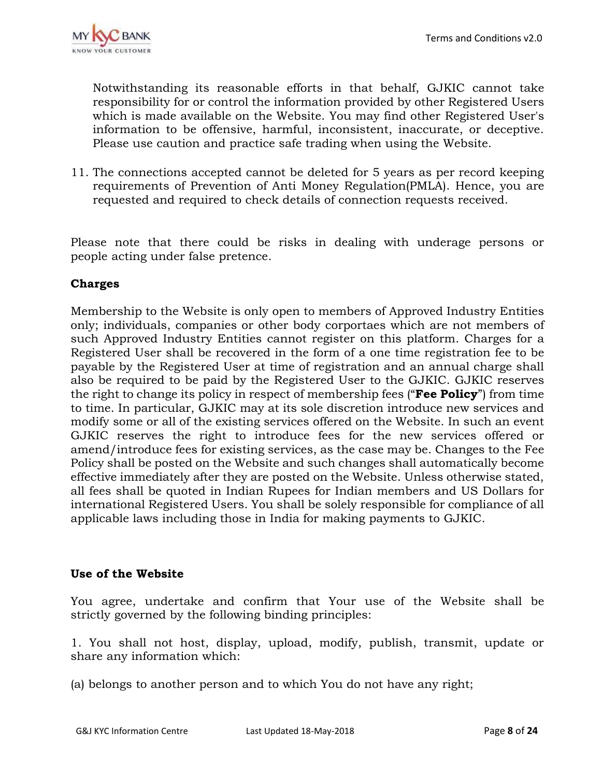

Notwithstanding its reasonable efforts in that behalf, GJKIC cannot take responsibility for or control the information provided by other Registered Users which is made available on the Website. You may find other Registered User's information to be offensive, harmful, inconsistent, inaccurate, or deceptive. Please use caution and practice safe trading when using the Website.

11. The connections accepted cannot be deleted for 5 years as per record keeping requirements of Prevention of Anti Money Regulation(PMLA). Hence, you are requested and required to check details of connection requests received.

Please note that there could be risks in dealing with underage persons or people acting under false pretence.

## **Charges**

Membership to the Website is only open to members of Approved Industry Entities only; individuals, companies or other body corportaes which are not members of such Approved Industry Entities cannot register on this platform. Charges for a Registered User shall be recovered in the form of a one time registration fee to be payable by the Registered User at time of registration and an annual charge shall also be required to be paid by the Registered User to the GJKIC. GJKIC reserves the right to change its policy in respect of membership fees ("**Fee Policy**") from time to time. In particular, GJKIC may at its sole discretion introduce new services and modify some or all of the existing services offered on the Website. In such an event GJKIC reserves the right to introduce fees for the new services offered or amend/introduce fees for existing services, as the case may be. Changes to the Fee Policy shall be posted on the Website and such changes shall automatically become effective immediately after they are posted on the Website. Unless otherwise stated, all fees shall be quoted in Indian Rupees for Indian members and US Dollars for international Registered Users. You shall be solely responsible for compliance of all applicable laws including those in India for making payments to GJKIC.

### **Use of the Website**

You agree, undertake and confirm that Your use of the Website shall be strictly governed by the following binding principles:

1. You shall not host, display, upload, modify, publish, transmit, update or share any information which:

(a) belongs to another person and to which You do not have any right;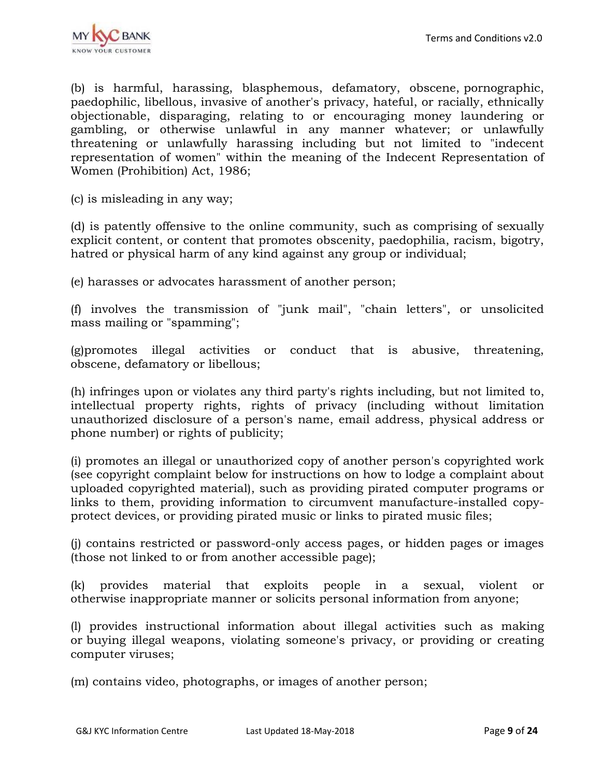(b) is harmful, harassing, blasphemous, defamatory, obscene, pornographic, paedophilic, libellous, invasive of another's privacy, hateful, or racially, ethnically objectionable, disparaging, relating to or encouraging money laundering or gambling, or otherwise unlawful in any manner whatever; or unlawfully threatening or unlawfully harassing including but not limited to "indecent representation of women" within the meaning of the Indecent Representation of Women (Prohibition) Act, 1986;

(c) is misleading in any way;

(d) is patently offensive to the online community, such as comprising of sexually explicit content, or content that promotes obscenity, paedophilia, racism, bigotry, hatred or physical harm of any kind against any group or individual;

(e) harasses or advocates harassment of another person;

(f) involves the transmission of "junk mail", "chain letters", or unsolicited mass mailing or "spamming";

(g)promotes illegal activities or conduct that is abusive, threatening, obscene, defamatory or libellous;

(h) infringes upon or violates any third party's rights including, but not limited to, intellectual property rights, rights of privacy (including without limitation unauthorized disclosure of a person's name, email address, physical address or phone number) or rights of publicity;

(i) promotes an illegal or unauthorized copy of another person's copyrighted work (see copyright complaint below for instructions on how to lodge a complaint about uploaded copyrighted material), such as providing pirated computer programs or links to them, providing information to circumvent manufacture-installed copyprotect devices, or providing pirated music or links to pirated music files;

(j) contains restricted or password-only access pages, or hidden pages or images (those not linked to or from another accessible page);

(k) provides material that exploits people in a sexual, violent or otherwise inappropriate manner or solicits personal information from anyone;

(l) provides instructional information about illegal activities such as making or buying illegal weapons, violating someone's privacy, or providing or creating computer viruses;

(m) contains video, photographs, or images of another person;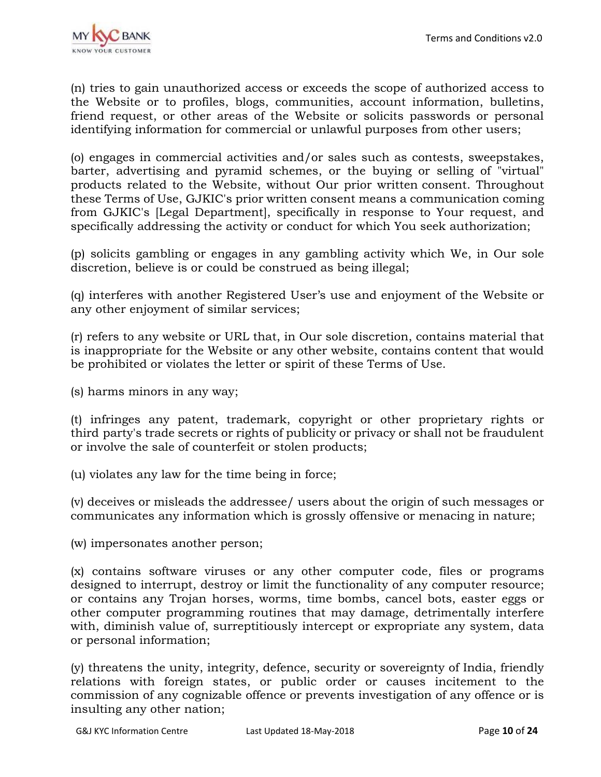

(n) tries to gain unauthorized access or exceeds the scope of authorized access to the Website or to profiles, blogs, communities, account information, bulletins, friend request, or other areas of the Website or solicits passwords or personal identifying information for commercial or unlawful purposes from other users;

(o) engages in commercial activities and/or sales such as contests, sweepstakes, barter, advertising and pyramid schemes, or the buying or selling of "virtual" products related to the Website, without Our prior written consent. Throughout these Terms of Use, GJKIC's prior written consent means a communication coming from GJKIC's [Legal Department], specifically in response to Your request, and specifically addressing the activity or conduct for which You seek authorization;

(p) solicits gambling or engages in any gambling activity which We, in Our sole discretion, believe is or could be construed as being illegal;

(q) interferes with another Registered User's use and enjoyment of the Website or any other enjoyment of similar services;

(r) refers to any website or URL that, in Our sole discretion, contains material that is inappropriate for the Website or any other website, contains content that would be prohibited or violates the letter or spirit of these Terms of Use.

(s) harms minors in any way;

(t) infringes any patent, trademark, copyright or other proprietary rights or third party's trade secrets or rights of publicity or privacy or shall not be fraudulent or involve the sale of counterfeit or stolen products;

(u) violates any law for the time being in force;

(v) deceives or misleads the addressee/ users about the origin of such messages or communicates any information which is grossly offensive or menacing in nature;

(w) impersonates another person;

(x) contains software viruses or any other computer code, files or programs designed to interrupt, destroy or limit the functionality of any computer resource; or contains any Trojan horses, worms, time bombs, cancel bots, easter eggs or other computer programming routines that may damage, detrimentally interfere with, diminish value of, surreptitiously intercept or expropriate any system, data or personal information;

(y) threatens the unity, integrity, defence, security or sovereignty of India, friendly relations with foreign states, or public order or causes incitement to the commission of any cognizable offence or prevents investigation of any offence or is insulting any other nation;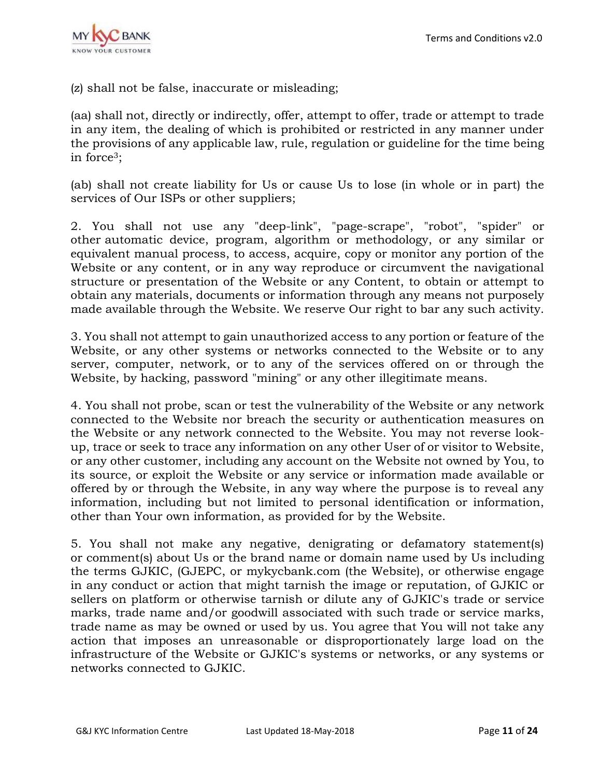

(z) shall not be false, inaccurate or misleading;

(aa) shall not, directly or indirectly, offer, attempt to offer, trade or attempt to trade in any item, the dealing of which is prohibited or restricted in any manner under the provisions of any applicable law, rule, regulation or guideline for the time being in force3;

(ab) shall not create liability for Us or cause Us to lose (in whole or in part) the services of Our ISPs or other suppliers;

2. You shall not use any "deep-link", "page-scrape", "robot", "spider" or other automatic device, program, algorithm or methodology, or any similar or equivalent manual process, to access, acquire, copy or monitor any portion of the Website or any content, or in any way reproduce or circumvent the navigational structure or presentation of the Website or any Content, to obtain or attempt to obtain any materials, documents or information through any means not purposely made available through the Website. We reserve Our right to bar any such activity.

3. You shall not attempt to gain unauthorized access to any portion or feature of the Website, or any other systems or networks connected to the Website or to any server, computer, network, or to any of the services offered on or through the Website, by hacking, password "mining" or any other illegitimate means.

4. You shall not probe, scan or test the vulnerability of the Website or any network connected to the Website nor breach the security or authentication measures on the Website or any network connected to the Website. You may not reverse lookup, trace or seek to trace any information on any other User of or visitor to Website, or any other customer, including any account on the Website not owned by You, to its source, or exploit the Website or any service or information made available or offered by or through the Website, in any way where the purpose is to reveal any information, including but not limited to personal identification or information, other than Your own information, as provided for by the Website.

5. You shall not make any negative, denigrating or defamatory statement(s) or comment(s) about Us or the brand name or domain name used by Us including the terms GJKIC, (GJEPC, or mykycbank.com (the Website), or otherwise engage in any conduct or action that might tarnish the image or reputation, of GJKIC or sellers on platform or otherwise tarnish or dilute any of GJKIC's trade or service marks, trade name and/or goodwill associated with such trade or service marks, trade name as may be owned or used by us. You agree that You will not take any action that imposes an unreasonable or disproportionately large load on the infrastructure of the Website or GJKIC's systems or networks, or any systems or networks connected to GJKIC.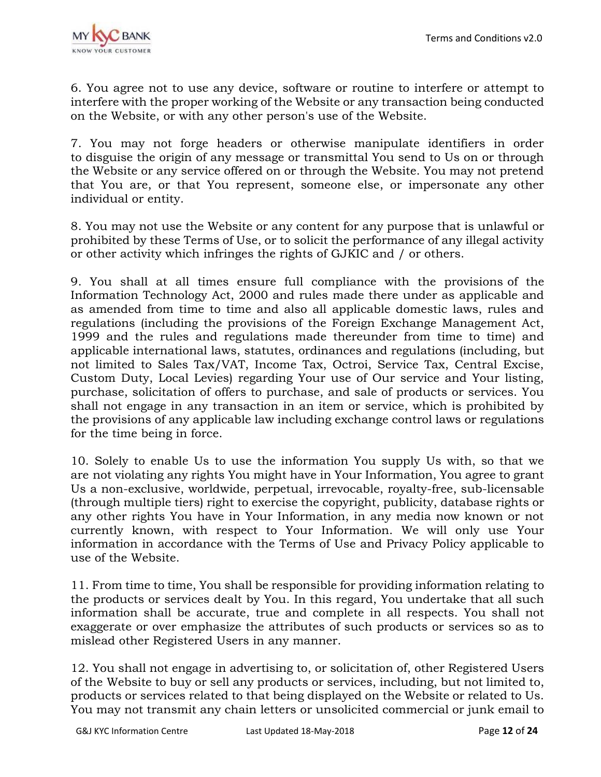

6. You agree not to use any device, software or routine to interfere or attempt to interfere with the proper working of the Website or any transaction being conducted on the Website, or with any other person's use of the Website.

7. You may not forge headers or otherwise manipulate identifiers in order to disguise the origin of any message or transmittal You send to Us on or through the Website or any service offered on or through the Website. You may not pretend that You are, or that You represent, someone else, or impersonate any other individual or entity.

8. You may not use the Website or any content for any purpose that is unlawful or prohibited by these Terms of Use, or to solicit the performance of any illegal activity or other activity which infringes the rights of GJKIC and / or others.

9. You shall at all times ensure full compliance with the provisions of the Information Technology Act, 2000 and rules made there under as applicable and as amended from time to time and also all applicable domestic laws, rules and regulations (including the provisions of the Foreign Exchange Management Act, 1999 and the rules and regulations made thereunder from time to time) and applicable international laws, statutes, ordinances and regulations (including, but not limited to Sales Tax/VAT, Income Tax, Octroi, Service Tax, Central Excise, Custom Duty, Local Levies) regarding Your use of Our service and Your listing, purchase, solicitation of offers to purchase, and sale of products or services. You shall not engage in any transaction in an item or service, which is prohibited by the provisions of any applicable law including exchange control laws or regulations for the time being in force.

10. Solely to enable Us to use the information You supply Us with, so that we are not violating any rights You might have in Your Information, You agree to grant Us a non-exclusive, worldwide, perpetual, irrevocable, royalty-free, sub-licensable (through multiple tiers) right to exercise the copyright, publicity, database rights or any other rights You have in Your Information, in any media now known or not currently known, with respect to Your Information. We will only use Your information in accordance with the Terms of Use and Privacy Policy applicable to use of the Website.

11. From time to time, You shall be responsible for providing information relating to the products or services dealt by You. In this regard, You undertake that all such information shall be accurate, true and complete in all respects. You shall not exaggerate or over emphasize the attributes of such products or services so as to mislead other Registered Users in any manner.

12. You shall not engage in advertising to, or solicitation of, other Registered Users of the Website to buy or sell any products or services, including, but not limited to, products or services related to that being displayed on the Website or related to Us. You may not transmit any chain letters or unsolicited commercial or junk email to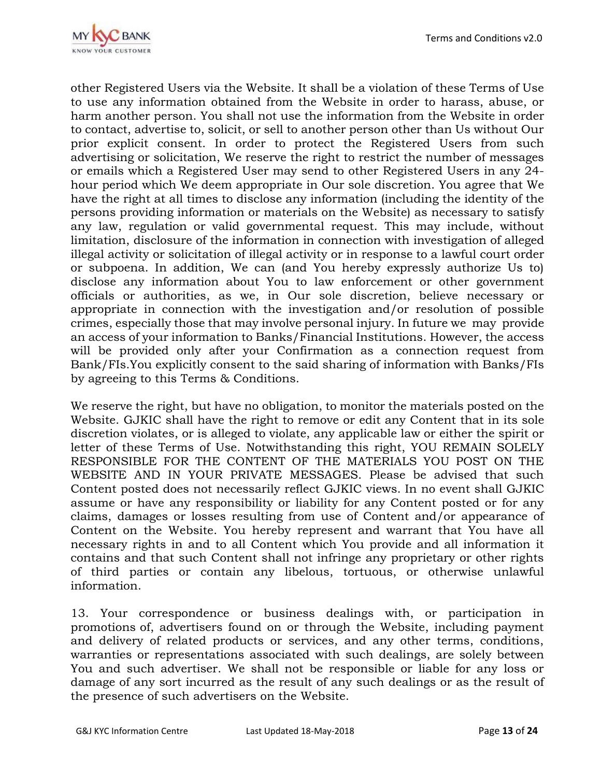

other Registered Users via the Website. It shall be a violation of these Terms of Use to use any information obtained from the Website in order to harass, abuse, or harm another person. You shall not use the information from the Website in order to contact, advertise to, solicit, or sell to another person other than Us without Our prior explicit consent. In order to protect the Registered Users from such advertising or solicitation, We reserve the right to restrict the number of messages or emails which a Registered User may send to other Registered Users in any 24 hour period which We deem appropriate in Our sole discretion. You agree that We have the right at all times to disclose any information (including the identity of the persons providing information or materials on the Website) as necessary to satisfy any law, regulation or valid governmental request. This may include, without limitation, disclosure of the information in connection with investigation of alleged illegal activity or solicitation of illegal activity or in response to a lawful court order or subpoena. In addition, We can (and You hereby expressly authorize Us to) disclose any information about You to law enforcement or other government officials or authorities, as we, in Our sole discretion, believe necessary or appropriate in connection with the investigation and/or resolution of possible crimes, especially those that may involve personal injury. In future we may provide an access of your information to Banks/Financial Institutions. However, the access will be provided only after your Confirmation as a connection request from Bank/FIs.You explicitly consent to the said sharing of information with Banks/FIs by agreeing to this Terms & Conditions.

We reserve the right, but have no obligation, to monitor the materials posted on the Website. GJKIC shall have the right to remove or edit any Content that in its sole discretion violates, or is alleged to violate, any applicable law or either the spirit or letter of these Terms of Use. Notwithstanding this right, YOU REMAIN SOLELY RESPONSIBLE FOR THE CONTENT OF THE MATERIALS YOU POST ON THE WEBSITE AND IN YOUR PRIVATE MESSAGES. Please be advised that such Content posted does not necessarily reflect GJKIC views. In no event shall GJKIC assume or have any responsibility or liability for any Content posted or for any claims, damages or losses resulting from use of Content and/or appearance of Content on the Website. You hereby represent and warrant that You have all necessary rights in and to all Content which You provide and all information it contains and that such Content shall not infringe any proprietary or other rights of third parties or contain any libelous, tortuous, or otherwise unlawful information.

13. Your correspondence or business dealings with, or participation in promotions of, advertisers found on or through the Website, including payment and delivery of related products or services, and any other terms, conditions, warranties or representations associated with such dealings, are solely between You and such advertiser. We shall not be responsible or liable for any loss or damage of any sort incurred as the result of any such dealings or as the result of the presence of such advertisers on the Website.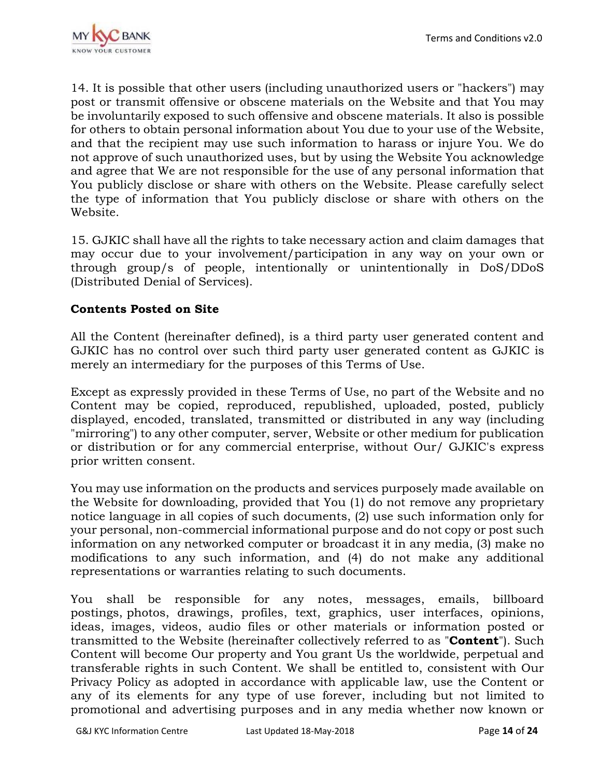

14. It is possible that other users (including unauthorized users or "hackers") may post or transmit offensive or obscene materials on the Website and that You may be involuntarily exposed to such offensive and obscene materials. It also is possible for others to obtain personal information about You due to your use of the Website, and that the recipient may use such information to harass or injure You. We do not approve of such unauthorized uses, but by using the Website You acknowledge and agree that We are not responsible for the use of any personal information that You publicly disclose or share with others on the Website. Please carefully select the type of information that You publicly disclose or share with others on the Website.

15. GJKIC shall have all the rights to take necessary action and claim damages that may occur due to your involvement/participation in any way on your own or through group/s of people, intentionally or unintentionally in DoS/DDoS (Distributed Denial of Services).

### **Contents Posted on Site**

All the Content (hereinafter defined), is a third party user generated content and GJKIC has no control over such third party user generated content as GJKIC is merely an intermediary for the purposes of this Terms of Use.

Except as expressly provided in these Terms of Use, no part of the Website and no Content may be copied, reproduced, republished, uploaded, posted, publicly displayed, encoded, translated, transmitted or distributed in any way (including "mirroring") to any other computer, server, Website or other medium for publication or distribution or for any commercial enterprise, without Our/ GJKIC's express prior written consent.

You may use information on the products and services purposely made available on the Website for downloading, provided that You (1) do not remove any proprietary notice language in all copies of such documents, (2) use such information only for your personal, non-commercial informational purpose and do not copy or post such information on any networked computer or broadcast it in any media, (3) make no modifications to any such information, and (4) do not make any additional representations or warranties relating to such documents.

You shall be responsible for any notes, messages, emails, billboard postings, photos, drawings, profiles, text, graphics, user interfaces, opinions, ideas, images, videos, audio files or other materials or information posted or transmitted to the Website (hereinafter collectively referred to as "**Content**"). Such Content will become Our property and You grant Us the worldwide, perpetual and transferable rights in such Content. We shall be entitled to, consistent with Our Privacy Policy as adopted in accordance with applicable law, use the Content or any of its elements for any type of use forever, including but not limited to promotional and advertising purposes and in any media whether now known or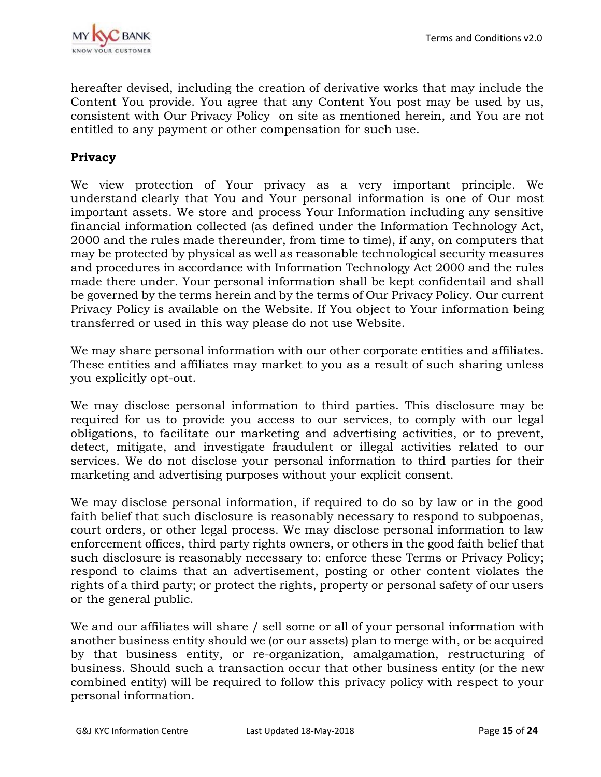

hereafter devised, including the creation of derivative works that may include the Content You provide. You agree that any Content You post may be used by us, consistent with Our Privacy Policy on site as mentioned herein, and You are not entitled to any payment or other compensation for such use.

## **Privacy**

We view protection of Your privacy as a very important principle. We understand clearly that You and Your personal information is one of Our most important assets. We store and process Your Information including any sensitive financial information collected (as defined under the Information Technology Act, 2000 and the rules made thereunder, from time to time), if any, on computers that may be protected by physical as well as reasonable technological security measures and procedures in accordance with Information Technology Act 2000 and the rules made there under. Your personal information shall be kept confidentail and shall be governed by the terms herein and by the terms of Our Privacy Policy. Our current Privacy Policy is available on the Website. If You object to Your information being transferred or used in this way please do not use Website.

We may share personal information with our other corporate entities and affiliates. These entities and affiliates may market to you as a result of such sharing unless you explicitly opt-out.

We may disclose personal information to third parties. This disclosure may be required for us to provide you access to our services, to comply with our legal obligations, to facilitate our marketing and advertising activities, or to prevent, detect, mitigate, and investigate fraudulent or illegal activities related to our services. We do not disclose your personal information to third parties for their marketing and advertising purposes without your explicit consent.

We may disclose personal information, if required to do so by law or in the good faith belief that such disclosure is reasonably necessary to respond to subpoenas, court orders, or other legal process. We may disclose personal information to law enforcement offices, third party rights owners, or others in the good faith belief that such disclosure is reasonably necessary to: enforce these Terms or Privacy Policy; respond to claims that an advertisement, posting or other content violates the rights of a third party; or protect the rights, property or personal safety of our users or the general public.

We and our affiliates will share / sell some or all of your personal information with another business entity should we (or our assets) plan to merge with, or be acquired by that business entity, or re-organization, amalgamation, restructuring of business. Should such a transaction occur that other business entity (or the new combined entity) will be required to follow this privacy policy with respect to your personal information.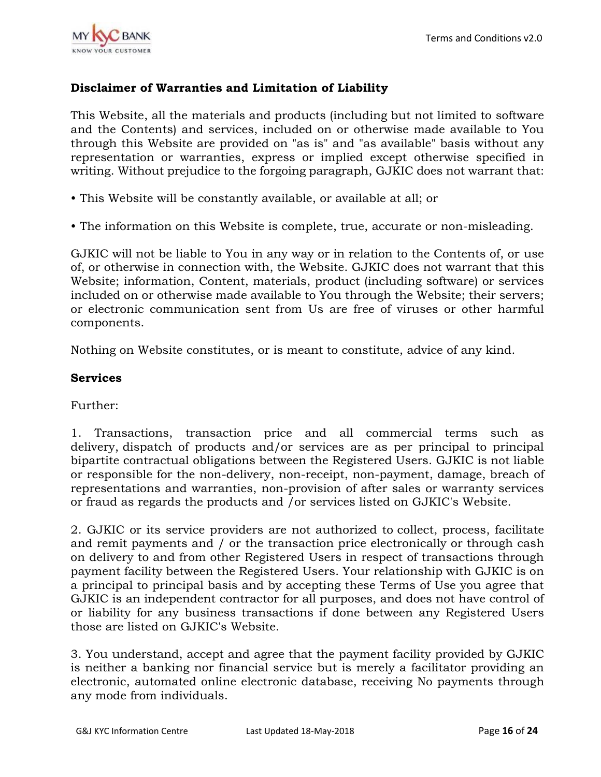

## **Disclaimer of Warranties and Limitation of Liability**

This Website, all the materials and products (including but not limited to software and the Contents) and services, included on or otherwise made available to You through this Website are provided on "as is" and "as available" basis without any representation or warranties, express or implied except otherwise specified in writing. Without prejudice to the forgoing paragraph, GJKIC does not warrant that:

- This Website will be constantly available, or available at all; or
- The information on this Website is complete, true, accurate or non-misleading.

GJKIC will not be liable to You in any way or in relation to the Contents of, or use of, or otherwise in connection with, the Website. GJKIC does not warrant that this Website; information, Content, materials, product (including software) or services included on or otherwise made available to You through the Website; their servers; or electronic communication sent from Us are free of viruses or other harmful components.

Nothing on Website constitutes, or is meant to constitute, advice of any kind.

### **Services**

Further:

1. Transactions, transaction price and all commercial terms such as delivery, dispatch of products and/or services are as per principal to principal bipartite contractual obligations between the Registered Users. GJKIC is not liable or responsible for the non-delivery, non-receipt, non-payment, damage, breach of representations and warranties, non-provision of after sales or warranty services or fraud as regards the products and /or services listed on GJKIC's Website.

2. GJKIC or its service providers are not authorized to collect, process, facilitate and remit payments and / or the transaction price electronically or through cash on delivery to and from other Registered Users in respect of transactions through payment facility between the Registered Users. Your relationship with GJKIC is on a principal to principal basis and by accepting these Terms of Use you agree that GJKIC is an independent contractor for all purposes, and does not have control of or liability for any business transactions if done between any Registered Users those are listed on GJKIC's Website.

3. You understand, accept and agree that the payment facility provided by GJKIC is neither a banking nor financial service but is merely a facilitator providing an electronic, automated online electronic database, receiving No payments through any mode from individuals.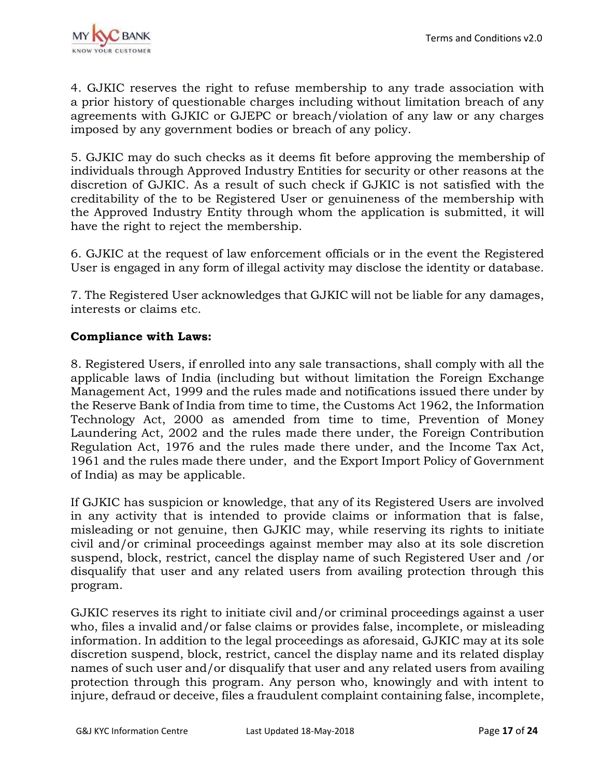

4. GJKIC reserves the right to refuse membership to any trade association with a prior history of questionable charges including without limitation breach of any agreements with GJKIC or GJEPC or breach/violation of any law or any charges imposed by any government bodies or breach of any policy.

5. GJKIC may do such checks as it deems fit before approving the membership of individuals through Approved Industry Entities for security or other reasons at the discretion of GJKIC. As a result of such check if GJKIC is not satisfied with the creditability of the to be Registered User or genuineness of the membership with the Approved Industry Entity through whom the application is submitted, it will have the right to reject the membership.

6. GJKIC at the request of law enforcement officials or in the event the Registered User is engaged in any form of illegal activity may disclose the identity or database.

7. The Registered User acknowledges that GJKIC will not be liable for any damages, interests or claims etc.

### **Compliance with Laws:**

8. Registered Users, if enrolled into any sale transactions, shall comply with all the applicable laws of India (including but without limitation the Foreign Exchange Management Act, 1999 and the rules made and notifications issued there under by the Reserve Bank of India from time to time, the Customs Act 1962, the Information Technology Act, 2000 as amended from time to time, Prevention of Money Laundering Act, 2002 and the rules made there under, the Foreign Contribution Regulation Act, 1976 and the rules made there under, and the Income Tax Act, 1961 and the rules made there under, and the Export Import Policy of Government of India) as may be applicable.

If GJKIC has suspicion or knowledge, that any of its Registered Users are involved in any activity that is intended to provide claims or information that is false, misleading or not genuine, then GJKIC may, while reserving its rights to initiate civil and/or criminal proceedings against member may also at its sole discretion suspend, block, restrict, cancel the display name of such Registered User and /or disqualify that user and any related users from availing protection through this program.

GJKIC reserves its right to initiate civil and/or criminal proceedings against a user who, files a invalid and/or false claims or provides false, incomplete, or misleading information. In addition to the legal proceedings as aforesaid, GJKIC may at its sole discretion suspend, block, restrict, cancel the display name and its related display names of such user and/or disqualify that user and any related users from availing protection through this program. Any person who, knowingly and with intent to injure, defraud or deceive, files a fraudulent complaint containing false, incomplete,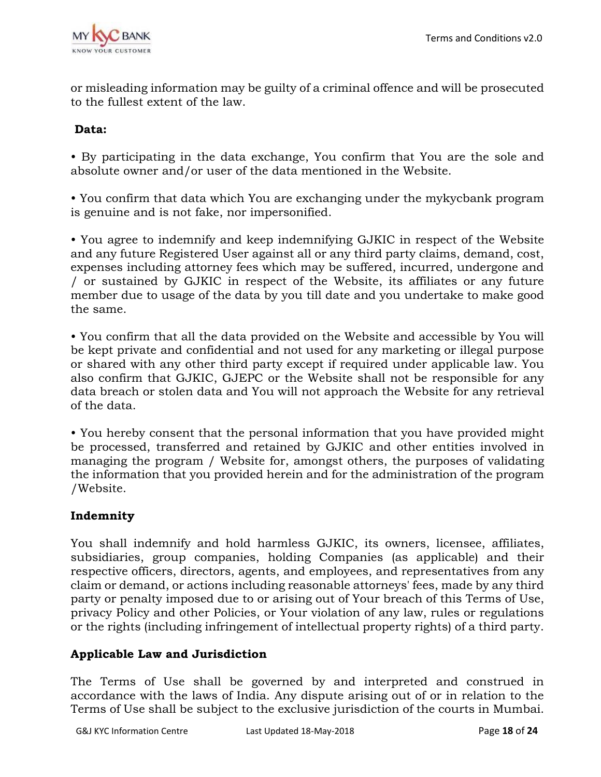

or misleading information may be guilty of a criminal offence and will be prosecuted to the fullest extent of the law.

## **Data:**

• By participating in the data exchange, You confirm that You are the sole and absolute owner and/or user of the data mentioned in the Website.

• You confirm that data which You are exchanging under the mykycbank program is genuine and is not fake, nor impersonified.

• You agree to indemnify and keep indemnifying GJKIC in respect of the Website and any future Registered User against all or any third party claims, demand, cost, expenses including attorney fees which may be suffered, incurred, undergone and / or sustained by GJKIC in respect of the Website, its affiliates or any future member due to usage of the data by you till date and you undertake to make good the same.

• You confirm that all the data provided on the Website and accessible by You will be kept private and confidential and not used for any marketing or illegal purpose or shared with any other third party except if required under applicable law. You also confirm that GJKIC, GJEPC or the Website shall not be responsible for any data breach or stolen data and You will not approach the Website for any retrieval of the data.

• You hereby consent that the personal information that you have provided might be processed, transferred and retained by GJKIC and other entities involved in managing the program / Website for, amongst others, the purposes of validating the information that you provided herein and for the administration of the program /Website.

# **Indemnity**

You shall indemnify and hold harmless GJKIC, its owners, licensee, affiliates, subsidiaries, group companies, holding Companies (as applicable) and their respective officers, directors, agents, and employees, and representatives from any claim or demand, or actions including reasonable attorneys' fees, made by any third party or penalty imposed due to or arising out of Your breach of this Terms of Use, privacy Policy and other Policies, or Your violation of any law, rules or regulations or the rights (including infringement of intellectual property rights) of a third party.

### **Applicable Law and Jurisdiction**

The Terms of Use shall be governed by and interpreted and construed in accordance with the laws of India. Any dispute arising out of or in relation to the Terms of Use shall be subject to the exclusive jurisdiction of the courts in Mumbai.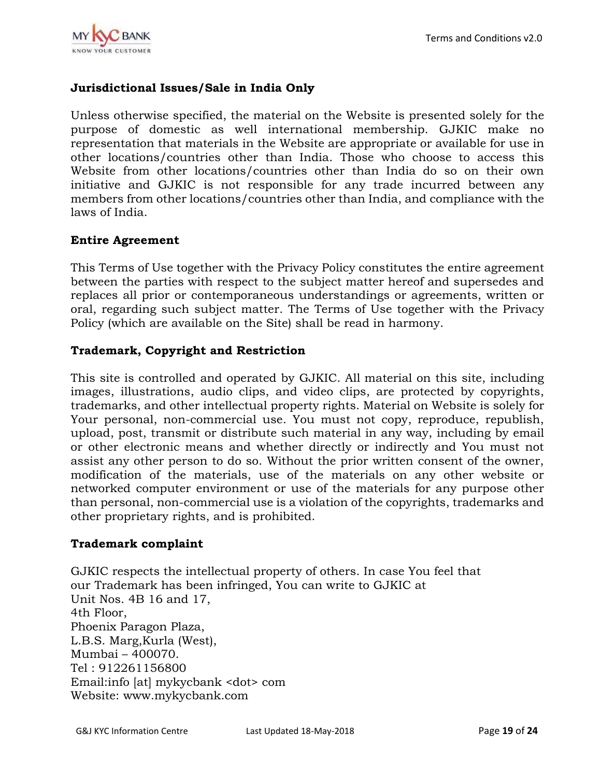

## **Jurisdictional Issues/Sale in India Only**

Unless otherwise specified, the material on the Website is presented solely for the purpose of domestic as well international membership. GJKIC make no representation that materials in the Website are appropriate or available for use in other locations/countries other than India. Those who choose to access this Website from other locations/countries other than India do so on their own initiative and GJKIC is not responsible for any trade incurred between any members from other locations/countries other than India, and compliance with the laws of India.

### **Entire Agreement**

This Terms of Use together with the Privacy Policy constitutes the entire agreement between the parties with respect to the subject matter hereof and supersedes and replaces all prior or contemporaneous understandings or agreements, written or oral, regarding such subject matter. The Terms of Use together with the Privacy Policy (which are available on the Site) shall be read in harmony.

#### **Trademark, Copyright and Restriction**

This site is controlled and operated by GJKIC. All material on this site, including images, illustrations, audio clips, and video clips, are protected by copyrights, trademarks, and other intellectual property rights. Material on Website is solely for Your personal, non-commercial use. You must not copy, reproduce, republish, upload, post, transmit or distribute such material in any way, including by email or other electronic means and whether directly or indirectly and You must not assist any other person to do so. Without the prior written consent of the owner, modification of the materials, use of the materials on any other website or networked computer environment or use of the materials for any purpose other than personal, non-commercial use is a violation of the copyrights, trademarks and other proprietary rights, and is prohibited.

#### **Trademark complaint**

GJKIC respects the intellectual property of others. In case You feel that our Trademark has been infringed, You can write to GJKIC at Unit Nos. 4B 16 and 17, 4th Floor, Phoenix Paragon Plaza, L.B.S. Marg,Kurla (West), Mumbai – 400070. Tel : 912261156800 Email:info [at] mykycbank <dot> com Website: www.mykycbank.com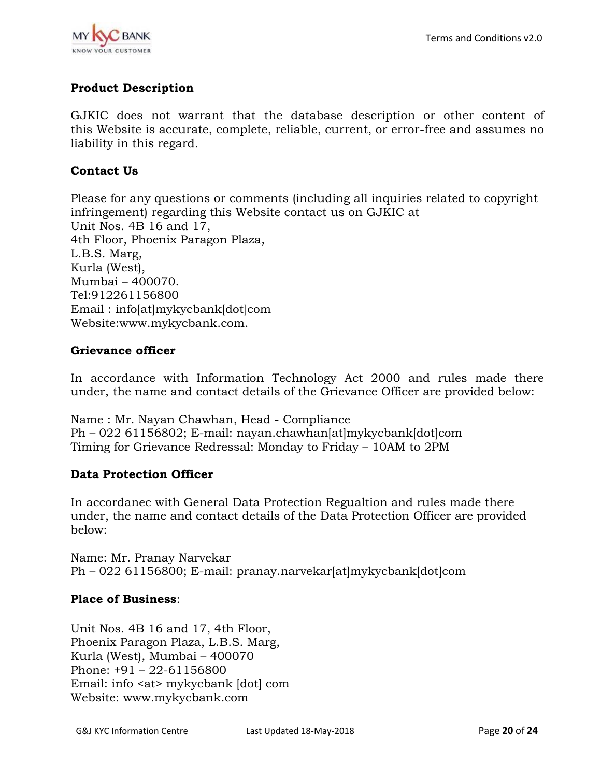

# **Product Description**

GJKIC does not warrant that the database description or other content of this Website is accurate, complete, reliable, current, or error-free and assumes no liability in this regard.

### **Contact Us**

Please for any questions or comments (including all inquiries related to copyright infringement) regarding this Website contact us on GJKIC at Unit Nos. 4B 16 and 17, 4th Floor, Phoenix Paragon Plaza, L.B.S. Marg, Kurla (West), Mumbai – 400070. Tel:912261156800 Email : info[at]mykycbank[dot]com Website:www.mykycbank.com.

#### **Grievance officer**

In accordance with Information Technology Act 2000 and rules made there under, the name and contact details of the Grievance Officer are provided below:

Name : Mr. Nayan Chawhan, Head - Compliance Ph – 022 61156802; E-mail: nayan.chawhan[at]mykycbank[dot]com Timing for Grievance Redressal: Monday to Friday – 10AM to 2PM

### **Data Protection Officer**

In accordanec with General Data Protection Regualtion and rules made there under, the name and contact details of the Data Protection Officer are provided below:

Name: Mr. Pranay Narvekar Ph – 022 61156800; E-mail: pranay.narvekar[at]mykycbank[dot]com

### **Place of Business**:

Unit Nos. 4B 16 and 17, 4th Floor, Phoenix Paragon Plaza, L.B.S. Marg, Kurla (West), Mumbai – 400070 Phone: +91 – 22-61156800 Email: info <at> mykycbank [dot] com Website: www.mykycbank.com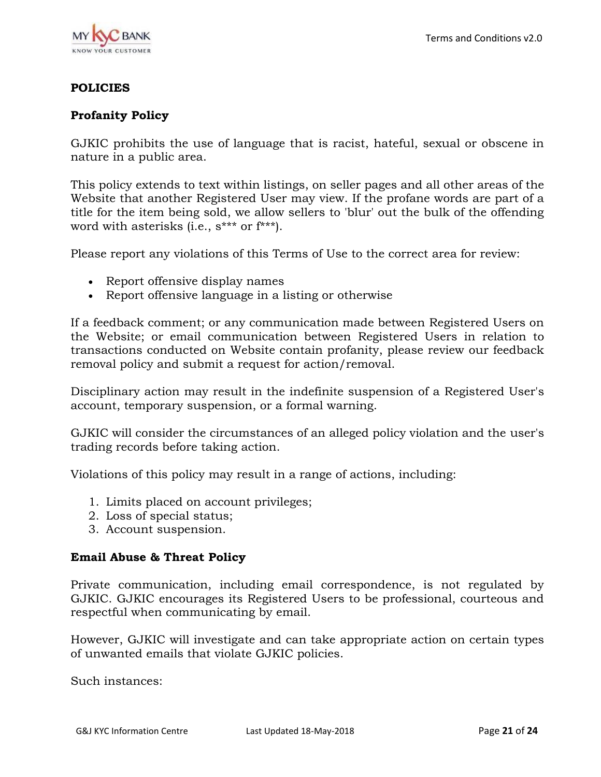

### **POLICIES**

### **Profanity Policy**

GJKIC prohibits the use of language that is racist, hateful, sexual or obscene in nature in a public area.

This policy extends to text within listings, on seller pages and all other areas of the Website that another Registered User may view. If the profane words are part of a title for the item being sold, we allow sellers to 'blur' out the bulk of the offending word with asterisks (i.e., s\*\*\* or f\*\*\*).

Please report any violations of this Terms of Use to the correct area for review:

- Report offensive display names
- Report offensive language in a listing or otherwise

If a feedback comment; or any communication made between Registered Users on the Website; or email communication between Registered Users in relation to transactions conducted on Website contain profanity, please review our feedback removal policy and submit a request for action/removal.

Disciplinary action may result in the indefinite suspension of a Registered User's account, temporary suspension, or a formal warning.

GJKIC will consider the circumstances of an alleged policy violation and the user's trading records before taking action.

Violations of this policy may result in a range of actions, including:

- 1. Limits placed on account privileges;
- 2. Loss of special status;
- 3. Account suspension.

#### **Email Abuse & Threat Policy**

Private communication, including email correspondence, is not regulated by GJKIC. GJKIC encourages its Registered Users to be professional, courteous and respectful when communicating by email.

However, GJKIC will investigate and can take appropriate action on certain types of unwanted emails that violate GJKIC policies.

Such instances: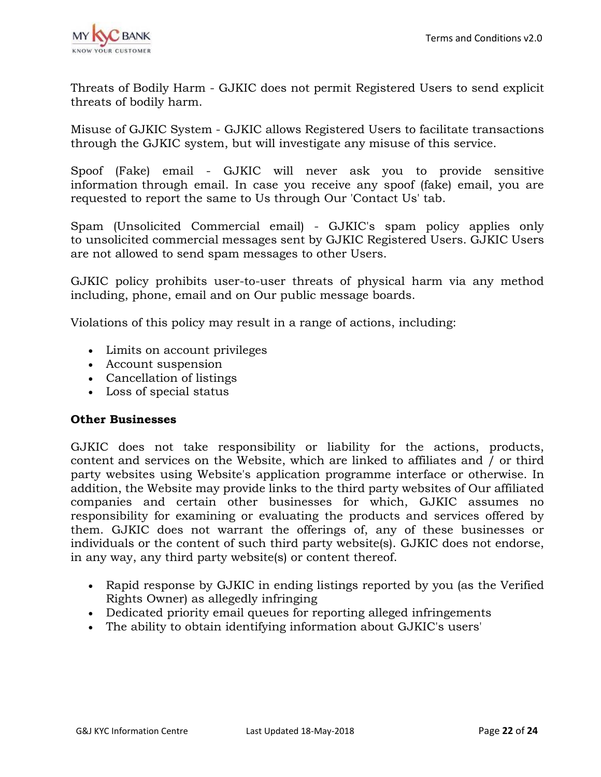

Threats of Bodily Harm - GJKIC does not permit Registered Users to send explicit threats of bodily harm.

Misuse of GJKIC System - GJKIC allows Registered Users to facilitate transactions through the GJKIC system, but will investigate any misuse of this service.

Spoof (Fake) email - GJKIC will never ask you to provide sensitive information through email. In case you receive any spoof (fake) email, you are requested to report the same to Us through Our 'Contact Us' tab.

Spam (Unsolicited Commercial email) - GJKIC's spam policy applies only to unsolicited commercial messages sent by GJKIC Registered Users. GJKIC Users are not allowed to send spam messages to other Users.

GJKIC policy prohibits user-to-user threats of physical harm via any method including, phone, email and on Our public message boards.

Violations of this policy may result in a range of actions, including:

- Limits on account privileges
- Account suspension
- Cancellation of listings
- Loss of special status

### **Other Businesses**

GJKIC does not take responsibility or liability for the actions, products, content and services on the Website, which are linked to affiliates and / or third party websites using Website's application programme interface or otherwise. In addition, the Website may provide links to the third party websites of Our affiliated companies and certain other businesses for which, GJKIC assumes no responsibility for examining or evaluating the products and services offered by them. GJKIC does not warrant the offerings of, any of these businesses or individuals or the content of such third party website(s). GJKIC does not endorse, in any way, any third party website(s) or content thereof.

- Rapid response by GJKIC in ending listings reported by you (as the Verified Rights Owner) as allegedly infringing
- Dedicated priority email queues for reporting alleged infringements
- The ability to obtain identifying information about GJKIC's users'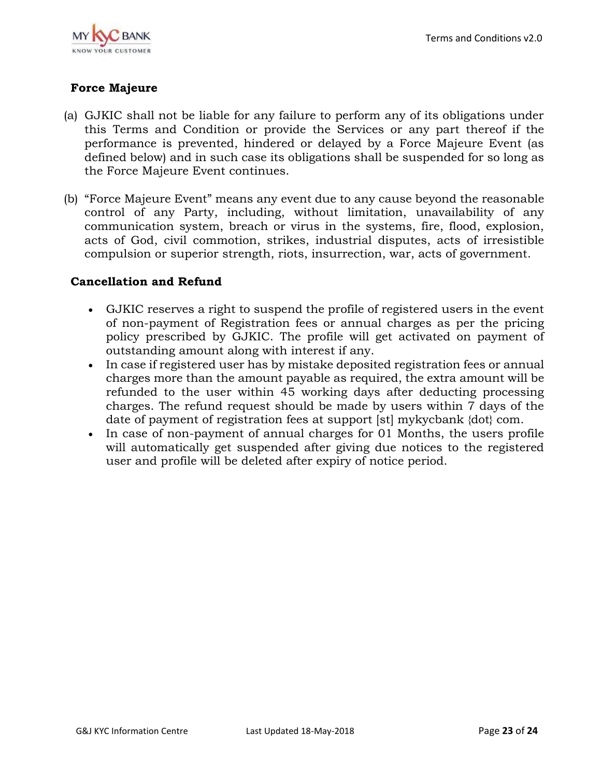

## **Force Majeure**

- (a) GJKIC shall not be liable for any failure to perform any of its obligations under this Terms and Condition or provide the Services or any part thereof if the performance is prevented, hindered or delayed by a Force Majeure Event (as defined below) and in such case its obligations shall be suspended for so long as the Force Majeure Event continues.
- (b) "Force Majeure Event" means any event due to any cause beyond the reasonable control of any Party, including, without limitation, unavailability of any communication system, breach or virus in the systems, fire, flood, explosion, acts of God, civil commotion, strikes, industrial disputes, acts of irresistible compulsion or superior strength, riots, insurrection, war, acts of government.

#### **Cancellation and Refund**

- GJKIC reserves a right to suspend the profile of registered users in the event of non-payment of Registration fees or annual charges as per the pricing policy prescribed by GJKIC. The profile will get activated on payment of outstanding amount along with interest if any.
- In case if registered user has by mistake deposited registration fees or annual charges more than the amount payable as required, the extra amount will be refunded to the user within 45 working days after deducting processing charges. The refund request should be made by users within 7 days of the date of payment of registration fees at support [st] mykycbank {dot} com.
- In case of non-payment of annual charges for 01 Months, the users profile will automatically get suspended after giving due notices to the registered user and profile will be deleted after expiry of notice period.